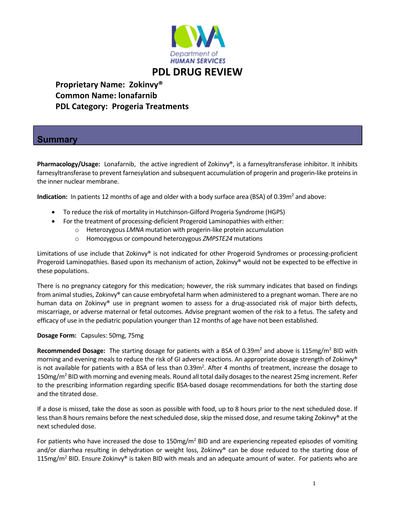

## **Proprietary Name: Zokinvy®**

 **Common Name: lonafarnib PDL Category: Progeria Treatments**

## **Summary**

Pharmacology/Usage: Lonafarnib, the active ingredient of Zokinvy®, is a farnesyltransferase inhibitor. It inhibits farnesyltransferase to prevent farnesylation and subsequent accumulation of progerin and progerin‐like proteins in the inner nuclear membrane.

**Indication:** In patients 12 months of age and older with a body surface area (BSA) of 0.39m<sup>2</sup> and above:

- To reduce the risk of mortality in Hutchinson‐Gilford Progeria Syndrome (HGPS)
- For the treatment of processing-deficient Progeroid Laminopathies with either:
	- o Heterozygous *LMNA* mutation with progerin‐like protein accumulation
	- o Homozygous or compound heterozygous *ZMPSTE24* mutations

Limitations of use include that Zokinvy® is not indicated for other Progeroid Syndromes or processing-proficient Progeroid Laminopathies. Based upon its mechanism of action, Zokinvy® would not be expected to be effective in these populations.

There is no pregnancy category for this medication; however, the risk summary indicates that based on findings from animal studies, Zokinvy® can cause embryofetal harm when administered to a pregnant woman. There are no human data on Zokinvy® use in pregnant women to assess for a drug-associated risk of major birth defects, miscarriage, or adverse maternal or fetal outcomes. Advise pregnant women of the risk to a fetus. The safety and efficacy of use in the pediatric population younger than 12 months of age have not been established.

## **Dosage Form:** Capsules: 50mg, 75mg

**Recommended Dosage:** The starting dosage for patients with a BSA of 0.39m<sup>2</sup> and above is 115mg/m<sup>2</sup> BID with morning and evening meals to reduce the risk of GI adverse reactions. An appropriate dosage strength of Zokinvy® is not available for patients with a BSA of less than 0.39m<sup>2</sup>. After 4 months of treatment, increase the dosage to 150mg/m<sup>2</sup> BID with morning and evening meals. Round all total daily dosages to the nearest 25mg increment. Refer to the prescribing information regarding specific BSA‐based dosage recommendations for both the starting dose and the titrated dose.

If a dose is missed, take the dose as soon as possible with food, up to 8 hours prior to the next scheduled dose. If less than 8 hours remains before the next scheduled dose, skip the missed dose, and resume taking Zokinvy® at the next scheduled dose.

For patients who have increased the dose to  $150 \text{mg/m}^2$  BID and are experiencing repeated episodes of vomiting and/or diarrhea resulting in dehydration or weight loss, Zokinvy<sup>®</sup> can be dose reduced to the starting dose of  $115$ mg/m<sup>2</sup> BID. Ensure Zokinvy<sup>®</sup> is taken BID with meals and an adequate amount of water. For patients who are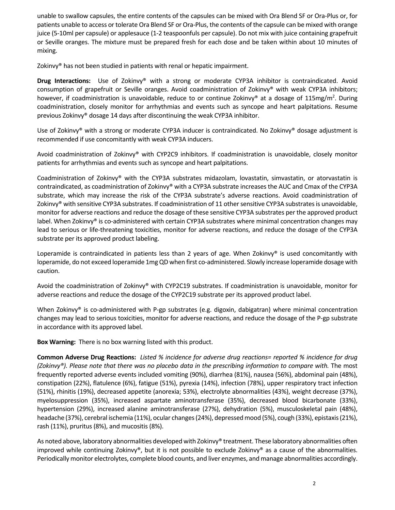unable to swallow capsules, the entire contents of the capsules can be mixed with Ora Blend SF or Ora‐Plus or, for patients unable to access or tolerate Ora Blend SF or Ora‐Plus, the contents of the capsule can be mixed with orange juice (5‐10ml per capsule) or applesauce (1‐2 teaspoonfuls per capsule). Do not mix with juice containing grapefruit or Seville oranges. The mixture must be prepared fresh for each dose and be taken within about 10 minutes of mixing.

Zokinvy® has not been studied in patients with renal or hepatic impairment.

**Drug Interactions:**  Use of Zokinvy® with a strong or moderate CYP3A inhibitor is contraindicated. Avoid consumption of grapefruit or Seville oranges. Avoid coadministration of Zokinvy® with weak CYP3A inhibitors; however, if coadministration is unavoidable, reduce to or continue Zokinvy® at a dosage of 115mg/m<sup>2</sup>. During coadministration, closely monitor for arrhythmias and events such as syncope and heart palpitations. Resume previous Zokinvy® dosage 14 days after discontinuing the weak CYP3A inhibitor.

Use of Zokinvy® with a strong or moderate CYP3A inducer is contraindicated. No Zokinvy® dosage adjustment is recommended if use concomitantly with weak CYP3A inducers.

Avoid coadministration of Zokinvy® with CYP2C9 inhibitors. If coadministration is unavoidable, closely monitor patients for arrhythmias and events such as syncope and heart palpitations.

Coadministration of Zokinvy® with the CYP3A substrates midazolam, lovastatin, simvastatin, or atorvastatin is contraindicated, as coadministration of Zokinvy® with a CYP3A substrate increasesthe AUC and Cmax of the CYP3A substrate, which may increase the risk of the CYP3A substrate's adverse reactions. Avoid coadministration of Zokinvy® with sensitive CYP3A substrates. If coadministration of 11 other sensitive CYP3A substrates is unavoidable, monitor for adverse reactions and reduce the dosage of these sensitive CYP3A substrates per the approved product label. When Zokinvy® is co-administered with certain CYP3A substrates where minimal concentration changes may lead to serious or life-threatening toxicities, monitor for adverse reactions, and reduce the dosage of the CYP3A substrate per its approved product labeling.

Loperamide is contraindicated in patients less than 2 years of age. When Zokinvy® is used concomitantly with loperamide, do not exceed loperamide 1mg QD when first co-administered. Slowly increase loperamide dosage with caution.

Avoid the coadministration of Zokinvy® with CYP2C19 substrates. If coadministration is unavoidable, monitor for adverse reactions and reduce the dosage of the CYP2C19 substrate per its approved product label.

When Zokinvy® is co-administered with P-gp substrates (e.g. digoxin, dabigatran) where minimal concentration changes may lead to serious toxicities, monitor for adverse reactions, and reduce the dosage of the P‐gp substrate in accordance with its approved label.

**Box Warning:** There is no box warning listed with this product.

Common Adverse Drug Reactions: Listed % incidence for adverse drug reactions= reported % incidence for drug *(Zokinvy®). Please note that there was no placebo data in the prescribing information to compare with.* The most frequently reported adverse events included vomiting (90%), diarrhea (81%), nausea (56%), abdominal pain (48%), constipation (22%), flatulence (6%), fatigue (51%), pyrexia (14%), infection (78%), upper respiratory tract infection (51%), rhinitis (19%), decreased appetite (anorexia; 53%), electrolyte abnormalities (43%), weight decrease (37%), myelosuppression (35%), increased aspartate aminotransferase (35%), decreased blood bicarbonate (33%), hypertension (29%), increased alanine aminotransferase (27%), dehydration (5%), musculoskeletal pain (48%), headache (37%), cerebral ischemia (11%), ocular changes (24%), depressed mood (5%), cough (33%), epistaxis (21%), rash (11%), pruritus (8%), and mucositis (8%).

As noted above, laboratory abnormalities developed with Zokinvy® treatment. These laboratory abnormalities often improved while continuing Zokinvy®, but it is not possible to exclude Zokinvy® as a cause of the abnormalities. Periodically monitor electrolytes, complete blood counts, and liver enzymes, and manage abnormalities accordingly.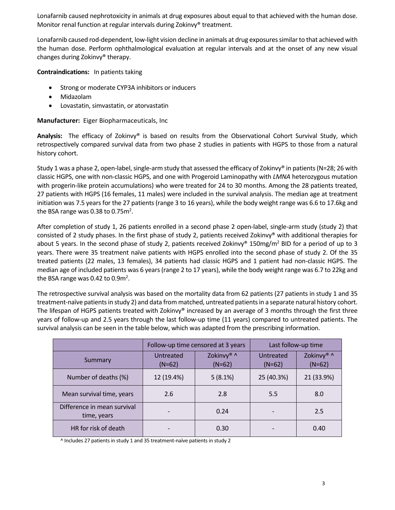Lonafarnib caused nephrotoxicity in animals at drug exposures about equal to that achieved with the human dose. Monitor renal function at regular intervals during Zokinvy® treatment.

Lonafarnib caused rod-dependent, low-light vision decline in animals at drug exposures similar to that achieved with the human dose. Perform ophthalmological evaluation at regular intervals and at the onset of any new visual changes during Zokinvy® therapy.

**Contraindications:**  In patients taking

- Strong or moderate CYP3A inhibitors or inducers
- Midazolam
- Lovastatin, simvastatin, or atorvastatin

**Manufacturer:** Eiger Biopharmaceuticals, Inc

**Analysis:**  The efficacy of Zokinvy® is based on results from the Observational Cohort Survival Study, which retrospectively compared survival data from two phase 2 studies in patients with HGPS to those from a natural history cohort.

Study 1 was a phase 2, open-label, single-arm study that assessed the efficacy of Zokinvy® in patients (N=28; 26 with classic HGPS, one with non‐classic HGPS, and one with Progeroid Laminopathy with *LMNA* heterozygous mutation with progerin-like protein accumulations) who were treated for 24 to 30 months. Among the 28 patients treated, 27 patients with HGPS (16 females, 11 males) were included in the survival analysis. The median age at treatment initiation was 7.5 years for the 27 patients (range 3 to 16 years), while the body weight range was 6.6 to 17.6kg and the BSA range was 0.38 to 0.75 $m^2$ .

After completion of study 1, 26 patients enrolled in a second phase 2 open-label, single-arm study (study 2) that consisted of 2 study phases. In the first phase of study 2, patients received Zokinvy® with additional therapies for about 5 years. In the second phase of study 2, patients received Zokinvy® 150mg/m<sup>2</sup> BID for a period of up to 3 years. There were 35 treatment naïve patients with HGPS enrolled into the second phase of study 2. Of the 35 treated patients (22 males, 13 females), 34 patients had classic HGPS and 1 patient had non‐classic HGPS. The median age of included patients was 6 years(range 2 to 17 years), while the body weight range was 6.7 to 22kg and the BSA range was 0.42 to 0.9 $m^2$ .

The retrospective survival analysis was based on the mortality data from 62 patients (27 patients in study 1 and 35 treatment‐naïve patientsin study 2) and data from matched, untreated patientsin a separate natural history cohort. The lifespan of HGPS patients treated with Zokinvy® increased by an average of 3 months through the first three years of follow‐up and 2.5 years through the last follow‐up time (11 years) compared to untreated patients. The survival analysis can be seen in the table below, which was adapted from the prescribing information.

|                                            | Follow-up time censored at 3 years |                        | Last follow-up time   |                        |
|--------------------------------------------|------------------------------------|------------------------|-----------------------|------------------------|
| Summary                                    | Untreated<br>$(N=62)$              | Zokinvy® ^<br>$(N=62)$ | Untreated<br>$(N=62)$ | Zokinvy® ^<br>$(N=62)$ |
| Number of deaths (%)                       | 12 (19.4%)                         | 5(8.1%)                | 25 (40.3%)            | 21 (33.9%)             |
| Mean survival time, years                  | 2.6                                | 2.8                    | 5.5                   | 8.0                    |
| Difference in mean survival<br>time, years |                                    | 0.24                   |                       | 2.5                    |
| HR for risk of death                       |                                    | 0.30                   |                       | 0.40                   |

^ Includes 27 patients in study 1 and 35 treatment‐naïve patients in study 2